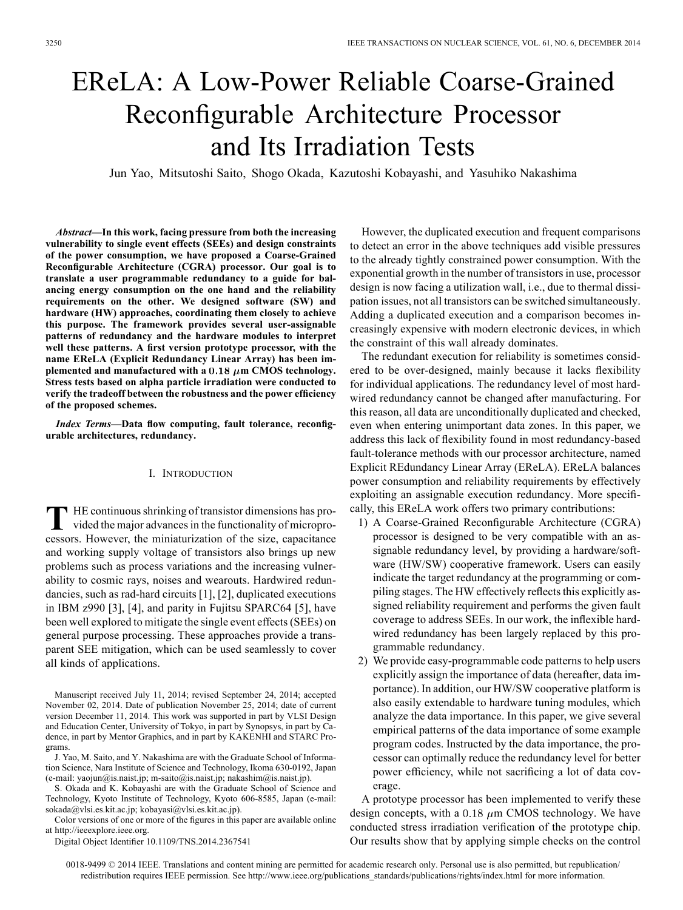# EReLA: A Low-Power Reliable Coarse-Grained Reconfigurable Architecture Processor and Its Irradiation Tests

Jun Yao, Mitsutoshi Saito, Shogo Okada, Kazutoshi Kobayashi, and Yasuhiko Nakashima

*Abstract—***In this work, facing pressure from both the increasing vulnerability to single event effects (SEEs) and design constraints of the power consumption, we have proposed a Coarse-Grained Reconfigurable Architecture (CGRA) processor. Our goal is to translate a user programmable redundancy to a guide for balancing energy consumption on the one hand and the reliability requirements on the other. We designed software (SW) and hardware (HW) approaches, coordinating them closely to achieve this purpose. The framework provides several user-assignable patterns of redundancy and the hardware modules to interpret well these patterns. A first version prototype processor, with the name EReLA (Explicit Redundancy Linear Array) has been im**plemented and manufactured with a  $0.18 \mu$ m CMOS technology. **Stress tests based on alpha particle irradiation were conducted to verify the tradeoff between the robustness and the power efficiency of the proposed schemes.**

Index Terms-Data flow computing, fault tolerance, reconfig**urable architectures, redundancy.**

# I. INTRODUCTION

**T** HE continuous shrinking of transistor dimensions has pro-vided the major advances in the functionality of microprocessors. However, the miniaturization of the size, capacitance and working supply voltage of transistors also brings up new problems such as process variations and the increasing vulnerability to cosmic rays, noises and wearouts. Hardwired redundancies, such as rad-hard circuits [1], [2], duplicated executions in IBM z990 [3], [4], and parity in Fujitsu SPARC64 [5], have been well explored to mitigate the single event effects (SEEs) on general purpose processing. These approaches provide a transparent SEE mitigation, which can be used seamlessly to cover all kinds of applications.

J. Yao, M. Saito, and Y. Nakashima are with the Graduate School of Information Science, Nara Institute of Science and Technology, Ikoma 630-0192, Japan (e-mail: yaojun@is.naist.jp; m-saito@is.naist.jp; nakashim@is.naist.jp).

S. Okada and K. Kobayashi are with the Graduate School of Science and Technology, Kyoto Institute of Technology, Kyoto 606-8585, Japan (e-mail: sokada@vlsi.es.kit.ac.jp; kobayasi@vlsi.es.kit.ac.jp).

Color versions of one or more of the figures in this paper are available online at http://ieeexplore.ieee.org.

Digital Object Identifier 10.1109/TNS.2014.2367541

However, the duplicated execution and frequent comparisons to detect an error in the above techniques add visible pressures to the already tightly constrained power consumption. With the exponential growth in the number of transistors in use, processor design is now facing a utilization wall, i.e., due to thermal dissipation issues, not all transistors can be switched simultaneously. Adding a duplicated execution and a comparison becomes increasingly expensive with modern electronic devices, in which the constraint of this wall already dominates.

The redundant execution for reliability is sometimes considered to be over-designed, mainly because it lacks flexibility for individual applications. The redundancy level of most hardwired redundancy cannot be changed after manufacturing. For this reason, all data are unconditionally duplicated and checked, even when entering unimportant data zones. In this paper, we address this lack of flexibility found in most redundancy-based fault-tolerance methods with our processor architecture, named Explicit REdundancy Linear Array (EReLA). EReLA balances power consumption and reliability requirements by effectively exploiting an assignable execution redundancy. More specifically, this EReLA work offers two primary contributions:

- 1) A Coarse-Grained Reconfigurable Architecture (CGRA) processor is designed to be very compatible with an assignable redundancy level, by providing a hardware/software (HW/SW) cooperative framework. Users can easily indicate the target redundancy at the programming or compiling stages. The HW effectively reflects this explicitly assigned reliability requirement and performs the given fault coverage to address SEEs. In our work, the inflexible hardwired redundancy has been largely replaced by this programmable redundancy.
- 2) We provide easy-programmable code patterns to help users explicitly assign the importance of data (hereafter, data importance). In addition, our HW/SW cooperative platform is also easily extendable to hardware tuning modules, which analyze the data importance. In this paper, we give several empirical patterns of the data importance of some example program codes. Instructed by the data importance, the processor can optimally reduce the redundancy level for better power efficiency, while not sacrificing a lot of data coverage.

A prototype processor has been implemented to verify these design concepts, with a 0.18  $\mu$ m CMOS technology. We have conducted stress irradiation verification of the prototype chip. Our results show that by applying simple checks on the control

Manuscript received July 11, 2014; revised September 24, 2014; accepted November 02, 2014. Date of publication November 25, 2014; date of current version December 11, 2014. This work was supported in part by VLSI Design and Education Center, University of Tokyo, in part by Synopsys, in part by Cadence, in part by Mentor Graphics, and in part by KAKENHI and STARC Programs.

<sup>0018-9499 © 2014</sup> IEEE. Translations and content mining are permitted for academic research only. Personal use is also permitted, but republication/ redistribution requires IEEE permission. See http://www.ieee.org/publications\_standards/publications/rights/index.html for more information.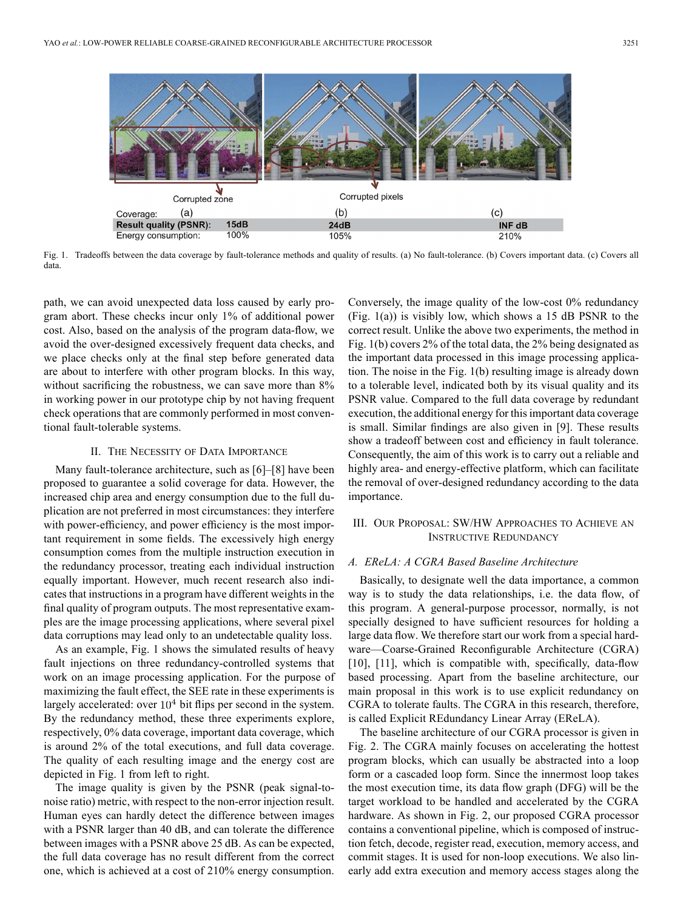

Fig. 1. Tradeoffs between the data coverage by fault-tolerance methods and quality of results. (a) No fault-tolerance. (b) Covers important data. (c) Covers all data.

path, we can avoid unexpected data loss caused by early program abort. These checks incur only 1% of additional power cost. Also, based on the analysis of the program data-flow, we avoid the over-designed excessively frequent data checks, and we place checks only at the final step before generated data are about to interfere with other program blocks. In this way, without sacrificing the robustness, we can save more than  $8\%$ in working power in our prototype chip by not having frequent check operations that are commonly performed in most conventional fault-tolerable systems.

#### II. THE NECESSITY OF DATA IMPORTANCE

Many fault-tolerance architecture, such as [6]–[8] have been proposed to guarantee a solid coverage for data. However, the increased chip area and energy consumption due to the full duplication are not preferred in most circumstances: they interfere with power-efficiency, and power efficiency is the most important requirement in some fields. The excessively high energy consumption comes from the multiple instruction execution in the redundancy processor, treating each individual instruction equally important. However, much recent research also indicates that instructions in a program have different weights in the final quality of program outputs. The most representative examples are the image processing applications, where several pixel data corruptions may lead only to an undetectable quality loss.

As an example, Fig. 1 shows the simulated results of heavy fault injections on three redundancy-controlled systems that work on an image processing application. For the purpose of maximizing the fault effect, the SEE rate in these experiments is largely accelerated: over  $10<sup>4</sup>$  bit flips per second in the system. By the redundancy method, these three experiments explore, respectively, 0% data coverage, important data coverage, which is around 2% of the total executions, and full data coverage. The quality of each resulting image and the energy cost are depicted in Fig. 1 from left to right.

The image quality is given by the PSNR (peak signal-tonoise ratio) metric, with respect to the non-error injection result. Human eyes can hardly detect the difference between images with a PSNR larger than 40 dB, and can tolerate the difference between images with a PSNR above 25 dB. As can be expected, the full data coverage has no result different from the correct one, which is achieved at a cost of 210% energy consumption.

Conversely, the image quality of the low-cost 0% redundancy (Fig.  $1(a)$ ) is visibly low, which shows a 15 dB PSNR to the correct result. Unlike the above two experiments, the method in Fig. 1(b) covers 2% of the total data, the 2% being designated as the important data processed in this image processing application. The noise in the Fig. 1(b) resulting image is already down to a tolerable level, indicated both by its visual quality and its PSNR value. Compared to the full data coverage by redundant execution, the additional energy for this important data coverage is small. Similar findings are also given in [9]. These results show a tradeoff between cost and efficiency in fault tolerance. Consequently, the aim of this work is to carry out a reliable and highly area- and energy-effective platform, which can facilitate the removal of over-designed redundancy according to the data importance.

# III. OUR PROPOSAL: SW/HW APPROACHES TO ACHIEVE AN INSTRUCTIVE REDUNDANCY

# *A. EReLA: A CGRA Based Baseline Architecture*

Basically, to designate well the data importance, a common way is to study the data relationships, i.e. the data flow, of this program. A general-purpose processor, normally, is not specially designed to have sufficient resources for holding a large data flow. We therefore start our work from a special hardware—Coarse-Grained Reconfigurable Architecture (CGRA) [10], [11], which is compatible with, specifically, data-flow based processing. Apart from the baseline architecture, our main proposal in this work is to use explicit redundancy on CGRA to tolerate faults. The CGRA in this research, therefore, is called Explicit REdundancy Linear Array (EReLA).

The baseline architecture of our CGRA processor is given in Fig. 2. The CGRA mainly focuses on accelerating the hottest program blocks, which can usually be abstracted into a loop form or a cascaded loop form. Since the innermost loop takes the most execution time, its data flow graph (DFG) will be the target workload to be handled and accelerated by the CGRA hardware. As shown in Fig. 2, our proposed CGRA processor contains a conventional pipeline, which is composed of instruction fetch, decode, register read, execution, memory access, and commit stages. It is used for non-loop executions. We also linearly add extra execution and memory access stages along the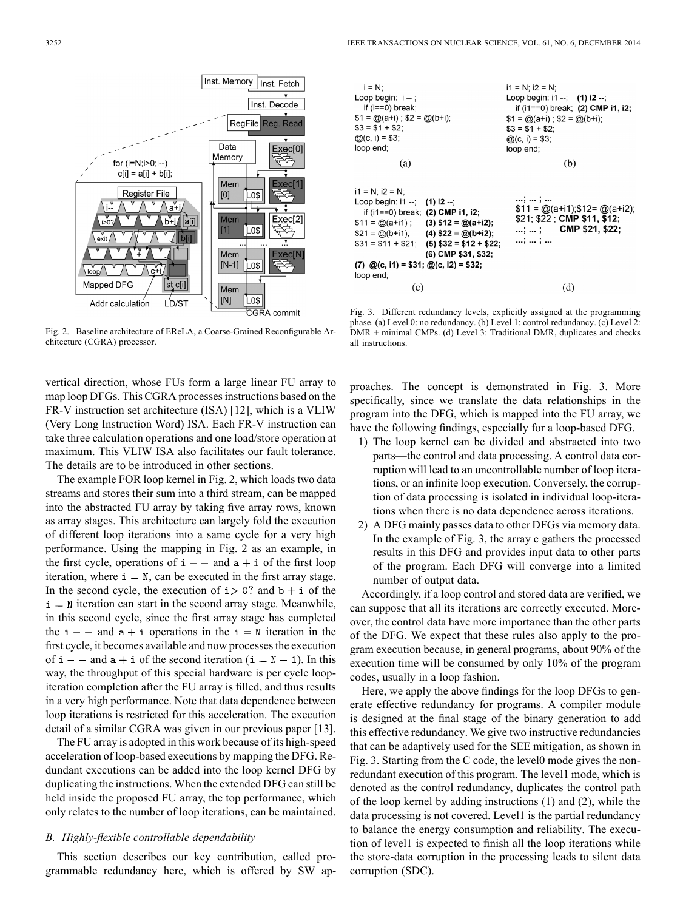

Fig. 2. Baseline architecture of EReLA, a Coarse-Grained Reconfigurable Architecture (CGRA) processor.

vertical direction, whose FUs form a large linear FU array to map loop DFGs. This CGRA processes instructions based on the FR-V instruction set architecture (ISA) [12], which is a VLIW (Very Long Instruction Word) ISA. Each FR-V instruction can take three calculation operations and one load/store operation at maximum. This VLIW ISA also facilitates our fault tolerance. The details are to be introduced in other sections.

The example FOR loop kernel in Fig. 2, which loads two data streams and stores their sum into a third stream, can be mapped into the abstracted FU array by taking five array rows, known as array stages. This architecture can largely fold the execution of different loop iterations into a same cycle for a very high performance. Using the mapping in Fig. 2 as an example, in the first cycle, operations of  $i$  –  $-$  and  $a + i$  of the first loop iteration, where  $i = N$ , can be executed in the first array stage. In the second cycle, the execution of  $i > 0$ ? and  $b + i$  of the  $i = N$  iteration can start in the second array stage. Meanwhile, in this second cycle, since the first array stage has completed the  $i - -$  and  $a + i$  operations in the  $i = N$  iteration in the first cycle, it becomes available and now processes the execution of  $i$  – – and  $a + i$  of the second iteration ( $i = N - 1$ ). In this way, the throughput of this special hardware is per cycle loopiteration completion after the FU array is filled, and thus results in a very high performance. Note that data dependence between loop iterations is restricted for this acceleration. The execution detail of a similar CGRA was given in our previous paper [13].

The FU array is adopted in this work because of its high-speed acceleration of loop-based executions by mapping the DFG. Redundant executions can be added into the loop kernel DFG by duplicating the instructions. When the extended DFG can still be held inside the proposed FU array, the top performance, which only relates to the number of loop iterations, can be maintained.

#### *B. Highly-flexible controllable dependability*

This section describes our key contribution, called programmable redundancy here, which is offered by SW ap-



Fig. 3. Different redundancy levels, explicitly assigned at the programming phase. (a) Level 0: no redundancy. (b) Level 1: control redundancy. (c) Level 2: DMR + minimal CMPs. (d) Level 3: Traditional DMR, duplicates and checks all instructions.

proaches. The concept is demonstrated in Fig. 3. More specifically, since we translate the data relationships in the program into the DFG, which is mapped into the FU array, we have the following findings, especially for a loop-based DFG.

- 1) The loop kernel can be divided and abstracted into two parts—the control and data processing. A control data corruption will lead to an uncontrollable number of loop iterations, or an infinite loop execution. Conversely, the corruption of data processing is isolated in individual loop-iterations when there is no data dependence across iterations.
- 2) A DFG mainly passes data to other DFGs via memory data. In the example of Fig. 3, the array c gathers the processed results in this DFG and provides input data to other parts of the program. Each DFG will converge into a limited number of output data.

Accordingly, if a loop control and stored data are verified, we can suppose that all its iterations are correctly executed. Moreover, the control data have more importance than the other parts of the DFG. We expect that these rules also apply to the program execution because, in general programs, about 90% of the execution time will be consumed by only 10% of the program codes, usually in a loop fashion.

Here, we apply the above findings for the loop DFGs to generate effective redundancy for programs. A compiler module is designed at the final stage of the binary generation to add this effective redundancy. We give two instructive redundancies that can be adaptively used for the SEE mitigation, as shown in Fig. 3. Starting from the C code, the level0 mode gives the nonredundant execution of this program. The level1 mode, which is denoted as the control redundancy, duplicates the control path of the loop kernel by adding instructions (1) and (2), while the data processing is not covered. Level1 is the partial redundancy to balance the energy consumption and reliability. The execution of level1 is expected to finish all the loop iterations while the store-data corruption in the processing leads to silent data corruption (SDC).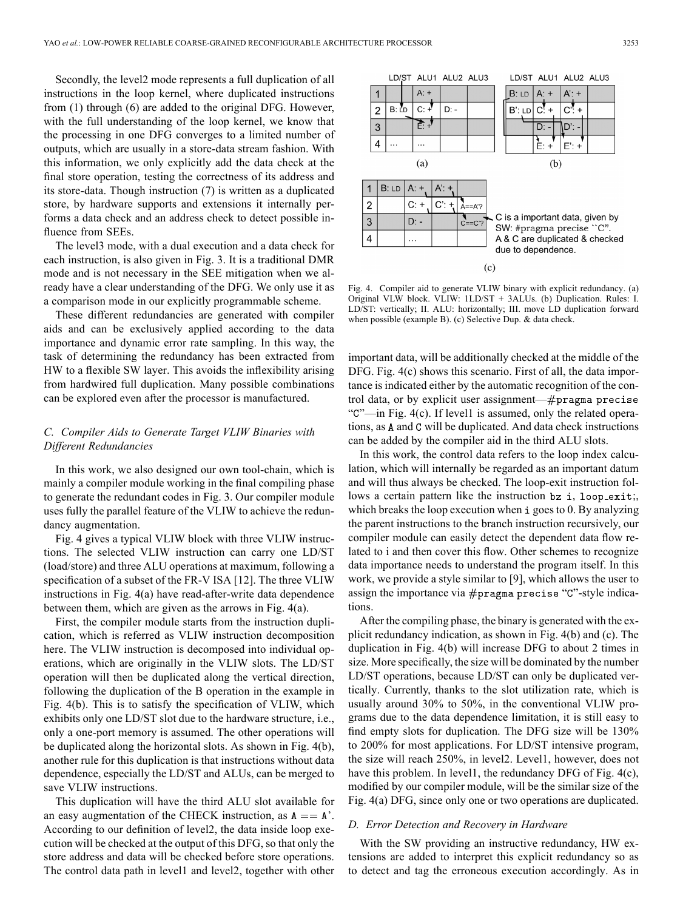Secondly, the level2 mode represents a full duplication of all instructions in the loop kernel, where duplicated instructions from (1) through (6) are added to the original DFG. However, with the full understanding of the loop kernel, we know that the processing in one DFG converges to a limited number of outputs, which are usually in a store-data stream fashion. With this information, we only explicitly add the data check at the final store operation, testing the correctness of its address and its store-data. Though instruction (7) is written as a duplicated store, by hardware supports and extensions it internally performs a data check and an address check to detect possible influence from SEEs.

The level3 mode, with a dual execution and a data check for each instruction, is also given in Fig. 3. It is a traditional DMR mode and is not necessary in the SEE mitigation when we already have a clear understanding of the DFG. We only use it as a comparison mode in our explicitly programmable scheme.

These different redundancies are generated with compiler aids and can be exclusively applied according to the data importance and dynamic error rate sampling. In this way, the task of determining the redundancy has been extracted from HW to a flexible SW layer. This avoids the inflexibility arising from hardwired full duplication. Many possible combinations can be explored even after the processor is manufactured.

# *C. Compiler Aids to Generate Target VLIW Binaries with Different Redundancies*

In this work, we also designed our own tool-chain, which is mainly a compiler module working in the final compiling phase to generate the redundant codes in Fig. 3. Our compiler module uses fully the parallel feature of the VLIW to achieve the redundancy augmentation.

Fig. 4 gives a typical VLIW block with three VLIW instructions. The selected VLIW instruction can carry one LD/ST (load/store) and three ALU operations at maximum, following a specification of a subset of the FR-V ISA [12]. The three VLIW instructions in Fig. 4(a) have read-after-write data dependence between them, which are given as the arrows in Fig. 4(a).

First, the compiler module starts from the instruction duplication, which is referred as VLIW instruction decomposition here. The VLIW instruction is decomposed into individual operations, which are originally in the VLIW slots. The LD/ST operation will then be duplicated along the vertical direction, following the duplication of the B operation in the example in Fig. 4(b). This is to satisfy the specification of VLIW, which exhibits only one LD/ST slot due to the hardware structure, i.e., only a one-port memory is assumed. The other operations will be duplicated along the horizontal slots. As shown in Fig. 4(b), another rule for this duplication is that instructions without data dependence, especially the LD/ST and ALUs, can be merged to save VLIW instructions.

This duplication will have the third ALU slot available for an easy augmentation of the CHECK instruction, as  $A = = A'$ . According to our definition of level2, the data inside loop execution will be checked at the output of this DFG, so that only the store address and data will be checked before store operations. The control data path in level1 and level2, together with other



Fig. 4. Compiler aid to generate VLIW binary with explicit redundancy. (a) Original VLW block. VLIW: 1LD/ST + 3ALUs. (b) Duplication. Rules: I. LD/ST: vertically; II. ALU: horizontally; III. move LD duplication forward when possible (example B). (c) Selective Dup. & data check.

important data, will be additionally checked at the middle of the DFG. Fig. 4(c) shows this scenario. First of all, the data importance is indicated either by the automatic recognition of the control data, or by explicit user assignment— " $C$ "—in Fig. 4(c). If level1 is assumed, only the related operations, as A and C will be duplicated. And data check instructions can be added by the compiler aid in the third ALU slots.

In this work, the control data refers to the loop index calculation, which will internally be regarded as an important datum and will thus always be checked. The loop-exit instruction follows a certain pattern like the instruction  $bz$  i, loop exit; which breaks the loop execution when  $i$  goes to 0. By analyzing the parent instructions to the branch instruction recursively, our compiler module can easily detect the dependent data flow related to i and then cover this flow. Other schemes to recognize data importance needs to understand the program itself. In this work, we provide a style similar to [9], which allows the user to assign the importance via  $#$ pragma precise "C"-style indications.

After the compiling phase, the binary is generated with the explicit redundancy indication, as shown in Fig. 4(b) and (c). The duplication in Fig. 4(b) will increase DFG to about 2 times in size. More specifically, the size will be dominated by the number LD/ST operations, because LD/ST can only be duplicated vertically. Currently, thanks to the slot utilization rate, which is usually around 30% to 50%, in the conventional VLIW programs due to the data dependence limitation, it is still easy to find empty slots for duplication. The DFG size will be 130% to 200% for most applications. For LD/ST intensive program, the size will reach 250%, in level2. Level1, however, does not have this problem. In level1, the redundancy DFG of Fig. 4(c), modified by our compiler module, will be the similar size of the Fig. 4(a) DFG, since only one or two operations are duplicated.

#### *D. Error Detection and Recovery in Hardware*

With the SW providing an instructive redundancy, HW extensions are added to interpret this explicit redundancy so as to detect and tag the erroneous execution accordingly. As in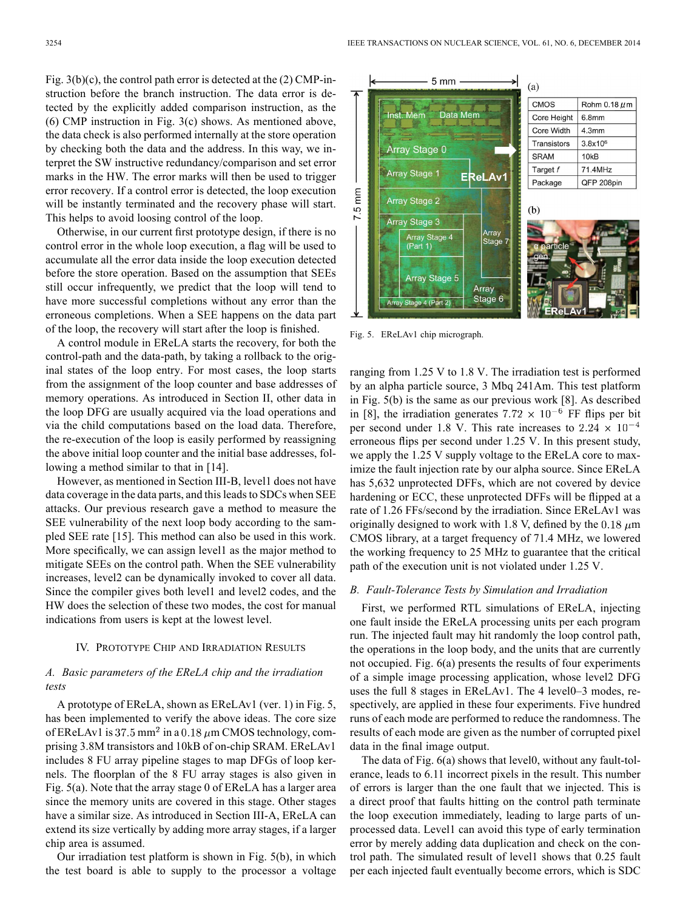Fig.  $3(b)(c)$ , the control path error is detected at the (2) CMP-instruction before the branch instruction. The data error is detected by the explicitly added comparison instruction, as the (6) CMP instruction in Fig. 3(c) shows. As mentioned above, the data check is also performed internally at the store operation by checking both the data and the address. In this way, we interpret the SW instructive redundancy/comparison and set error marks in the HW. The error marks will then be used to trigger error recovery. If a control error is detected, the loop execution will be instantly terminated and the recovery phase will start. This helps to avoid loosing control of the loop.

Otherwise, in our current first prototype design, if there is no control error in the whole loop execution, a flag will be used to accumulate all the error data inside the loop execution detected before the store operation. Based on the assumption that SEEs still occur infrequently, we predict that the loop will tend to have more successful completions without any error than the erroneous completions. When a SEE happens on the data part of the loop, the recovery will start after the loop is finished.

A control module in EReLA starts the recovery, for both the control-path and the data-path, by taking a rollback to the original states of the loop entry. For most cases, the loop starts from the assignment of the loop counter and base addresses of memory operations. As introduced in Section II, other data in the loop DFG are usually acquired via the load operations and via the child computations based on the load data. Therefore, the re-execution of the loop is easily performed by reassigning the above initial loop counter and the initial base addresses, following a method similar to that in [14].

However, as mentioned in Section III-B, level1 does not have data coverage in the data parts, and this leads to SDCs when SEE attacks. Our previous research gave a method to measure the SEE vulnerability of the next loop body according to the sampled SEE rate [15]. This method can also be used in this work. More specifically, we can assign level1 as the major method to mitigate SEEs on the control path. When the SEE vulnerability increases, level2 can be dynamically invoked to cover all data. Since the compiler gives both level1 and level2 codes, and the HW does the selection of these two modes, the cost for manual indications from users is kept at the lowest level.

#### IV. PROTOTYPE CHIP AND IRRADIATION RESULTS

# *A. Basic parameters of the EReLA chip and the irradiation tests*

A prototype of EReLA, shown as EReLAv1 (ver. 1) in Fig. 5, has been implemented to verify the above ideas. The core size of EReLAv1 is 37.5 mm<sup>2</sup> in a 0.18  $\mu$ m CMOS technology, comprising 3.8M transistors and 10kB of on-chip SRAM. EReLAv1 includes 8 FU array pipeline stages to map DFGs of loop kernels. The floorplan of the 8 FU array stages is also given in Fig. 5(a). Note that the array stage 0 of EReLA has a larger area since the memory units are covered in this stage. Other stages have a similar size. As introduced in Section III-A, EReLA can extend its size vertically by adding more array stages, if a larger chip area is assumed.

Our irradiation test platform is shown in Fig. 5(b), in which the test board is able to supply to the processor a voltage



Fig. 5. EReLAv1 chip micrograph.

ranging from 1.25 V to 1.8 V. The irradiation test is performed by an alpha particle source, 3 Mbq 241Am. This test platform in Fig. 5(b) is the same as our previous work [8]. As described in [8], the irradiation generates  $7.72 \times 10^{-6}$  FF flips per bit per second under 1.8 V. This rate increases to  $2.24 \times 10^{-4}$ erroneous flips per second under 1.25 V. In this present study, we apply the 1.25 V supply voltage to the EReLA core to maximize the fault injection rate by our alpha source. Since EReLA has 5,632 unprotected DFFs, which are not covered by device hardening or ECC, these unprotected DFFs will be flipped at a rate of 1.26 FFs/second by the irradiation. Since EReLAv1 was originally designed to work with 1.8 V, defined by the 0.18  $\mu$ m CMOS library, at a target frequency of 71.4 MHz, we lowered the working frequency to 25 MHz to guarantee that the critical path of the execution unit is not violated under 1.25 V.

### *B. Fault-Tolerance Tests by Simulation and Irradiation*

First, we performed RTL simulations of EReLA, injecting one fault inside the EReLA processing units per each program run. The injected fault may hit randomly the loop control path, the operations in the loop body, and the units that are currently not occupied. Fig. 6(a) presents the results of four experiments of a simple image processing application, whose level2 DFG uses the full 8 stages in EReLAv1. The 4 level0–3 modes, respectively, are applied in these four experiments. Five hundred runs of each mode are performed to reduce the randomness. The results of each mode are given as the number of corrupted pixel data in the final image output.

The data of Fig. 6(a) shows that level0, without any fault-tolerance, leads to 6.11 incorrect pixels in the result. This number of errors is larger than the one fault that we injected. This is a direct proof that faults hitting on the control path terminate the loop execution immediately, leading to large parts of unprocessed data. Level1 can avoid this type of early termination error by merely adding data duplication and check on the control path. The simulated result of level1 shows that 0.25 fault per each injected fault eventually become errors, which is SDC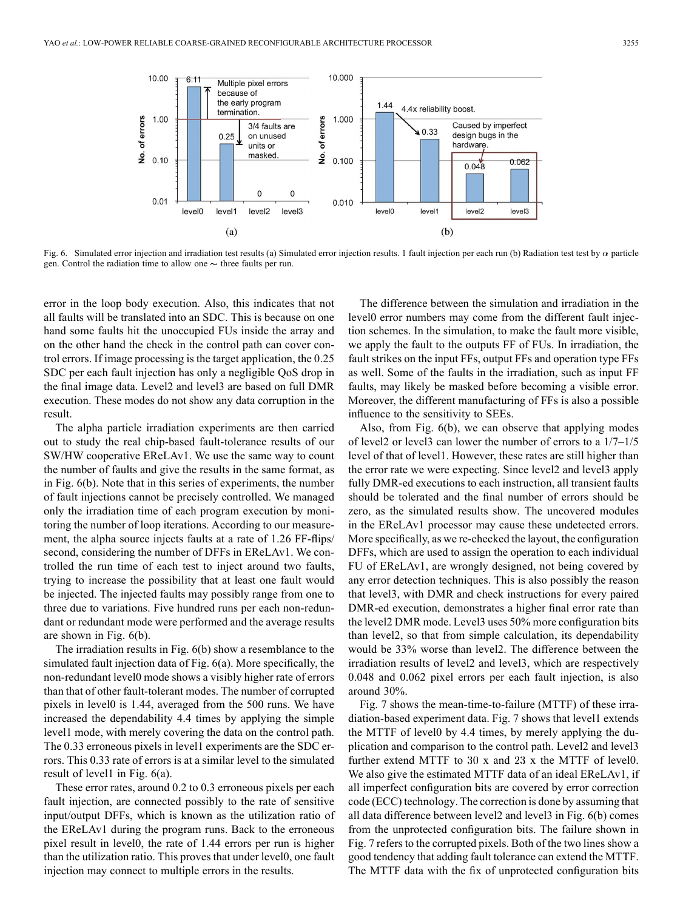

Fig. 6. Simulated error injection and irradiation test results (a) Simulated error injection results. 1 fault injection per each run (b) Radiation test test by  $\alpha$  particle gen. Control the radiation time to allow one  $\sim$  three faults per run.

error in the loop body execution. Also, this indicates that not all faults will be translated into an SDC. This is because on one hand some faults hit the unoccupied FUs inside the array and on the other hand the check in the control path can cover control errors. If image processing is the target application, the 0.25 SDC per each fault injection has only a negligible QoS drop in the final image data. Level2 and level3 are based on full DMR execution. These modes do not show any data corruption in the result.

The alpha particle irradiation experiments are then carried out to study the real chip-based fault-tolerance results of our SW/HW cooperative EReLAv1. We use the same way to count the number of faults and give the results in the same format, as in Fig. 6(b). Note that in this series of experiments, the number of fault injections cannot be precisely controlled. We managed only the irradiation time of each program execution by monitoring the number of loop iterations. According to our measurement, the alpha source injects faults at a rate of 1.26 FF-flips/ second, considering the number of DFFs in EReLAv1. We controlled the run time of each test to inject around two faults, trying to increase the possibility that at least one fault would be injected. The injected faults may possibly range from one to three due to variations. Five hundred runs per each non-redundant or redundant mode were performed and the average results are shown in Fig. 6(b).

The irradiation results in Fig. 6(b) show a resemblance to the simulated fault injection data of Fig. 6(a). More specifically, the non-redundant level0 mode shows a visibly higher rate of errors than that of other fault-tolerant modes. The number of corrupted pixels in level0 is 1.44, averaged from the 500 runs. We have increased the dependability 4.4 times by applying the simple level1 mode, with merely covering the data on the control path. The 0.33 erroneous pixels in level1 experiments are the SDC errors. This 0.33 rate of errors is at a similar level to the simulated result of level1 in Fig. 6(a).

These error rates, around 0.2 to 0.3 erroneous pixels per each fault injection, are connected possibly to the rate of sensitive input/output DFFs, which is known as the utilization ratio of the EReLAv1 during the program runs. Back to the erroneous pixel result in level0, the rate of 1.44 errors per run is higher than the utilization ratio. This proves that under level0, one fault injection may connect to multiple errors in the results.

The difference between the simulation and irradiation in the level0 error numbers may come from the different fault injection schemes. In the simulation, to make the fault more visible, we apply the fault to the outputs FF of FUs. In irradiation, the fault strikes on the input FFs, output FFs and operation type FFs as well. Some of the faults in the irradiation, such as input FF faults, may likely be masked before becoming a visible error. Moreover, the different manufacturing of FFs is also a possible influence to the sensitivity to SEEs.

Also, from Fig. 6(b), we can observe that applying modes of level2 or level3 can lower the number of errors to a 1/7–1/5 level of that of level1. However, these rates are still higher than the error rate we were expecting. Since level2 and level3 apply fully DMR-ed executions to each instruction, all transient faults should be tolerated and the final number of errors should be zero, as the simulated results show. The uncovered modules in the EReLAv1 processor may cause these undetected errors. More specifically, as we re-checked the layout, the configuration DFFs, which are used to assign the operation to each individual FU of EReLAv1, are wrongly designed, not being covered by any error detection techniques. This is also possibly the reason that level3, with DMR and check instructions for every paired DMR-ed execution, demonstrates a higher final error rate than the level2 DMR mode. Level3 uses 50% more configuration bits than level2, so that from simple calculation, its dependability would be 33% worse than level2. The difference between the irradiation results of level2 and level3, which are respectively 0.048 and 0.062 pixel errors per each fault injection, is also around 30%.

Fig. 7 shows the mean-time-to-failure (MTTF) of these irradiation-based experiment data. Fig. 7 shows that level1 extends the MTTF of level0 by 4.4 times, by merely applying the duplication and comparison to the control path. Level2 and level3 further extend MTTF to  $30 \times$  and  $23 \times$  the MTTF of level0. We also give the estimated MTTF data of an ideal EReLAv1, if all imperfect configuration bits are covered by error correction code (ECC) technology. The correction is done by assuming that all data difference between level2 and level3 in Fig. 6(b) comes from the unprotected configuration bits. The failure shown in Fig. 7 refers to the corrupted pixels. Both of the two lines show a good tendency that adding fault tolerance can extend the MTTF. The MTTF data with the fix of unprotected configuration bits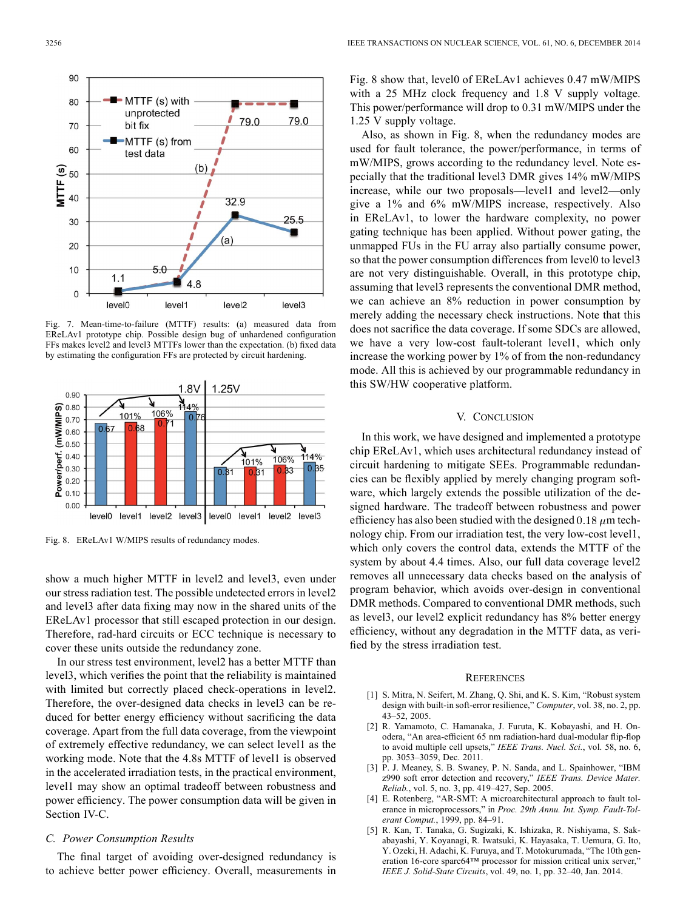

Fig. 7. Mean-time-to-failure (MTTF) results: (a) measured data from EReLAv1 prototype chip. Possible design bug of unhardened configuration FFs makes level2 and level3 MTTFs lower than the expectation. (b) fixed data by estimating the configuration FFs are protected by circuit hardening.



Fig. 8. EReLAv1 W/MIPS results of redundancy modes.

show a much higher MTTF in level2 and level3, even under our stress radiation test. The possible undetected errors in level2 and level3 after data fixing may now in the shared units of the EReLAv1 processor that still escaped protection in our design. Therefore, rad-hard circuits or ECC technique is necessary to cover these units outside the redundancy zone.

In our stress test environment, level2 has a better MTTF than level3, which verifies the point that the reliability is maintained with limited but correctly placed check-operations in level2. Therefore, the over-designed data checks in level3 can be reduced for better energy efficiency without sacrificing the data coverage. Apart from the full data coverage, from the viewpoint of extremely effective redundancy, we can select level1 as the working mode. Note that the 4.8s MTTF of level1 is observed in the accelerated irradiation tests, in the practical environment, level1 may show an optimal tradeoff between robustness and power efficiency. The power consumption data will be given in Section IV-C.

#### *C. Power Consumption Results*

The final target of avoiding over-designed redundancy is to achieve better power efficiency. Overall, measurements in Fig. 8 show that, level0 of EReLAv1 achieves 0.47 mW/MIPS with a 25 MHz clock frequency and 1.8 V supply voltage. This power/performance will drop to 0.31 mW/MIPS under the 1.25 V supply voltage.

Also, as shown in Fig. 8, when the redundancy modes are used for fault tolerance, the power/performance, in terms of mW/MIPS, grows according to the redundancy level. Note especially that the traditional level3 DMR gives 14% mW/MIPS increase, while our two proposals—level1 and level2—only give a 1% and 6% mW/MIPS increase, respectively. Also in EReLAv1, to lower the hardware complexity, no power gating technique has been applied. Without power gating, the unmapped FUs in the FU array also partially consume power, so that the power consumption differences from level0 to level3 are not very distinguishable. Overall, in this prototype chip, assuming that level3 represents the conventional DMR method, we can achieve an 8% reduction in power consumption by merely adding the necessary check instructions. Note that this does not sacrifice the data coverage. If some SDCs are allowed, we have a very low-cost fault-tolerant level1, which only increase the working power by 1% of from the non-redundancy mode. All this is achieved by our programmable redundancy in this SW/HW cooperative platform.

## V. CONCLUSION

In this work, we have designed and implemented a prototype chip EReLAv1, which uses architectural redundancy instead of circuit hardening to mitigate SEEs. Programmable redundancies can be flexibly applied by merely changing program software, which largely extends the possible utilization of the designed hardware. The tradeoff between robustness and power efficiency has also been studied with the designed 0.18  $\mu$ m technology chip. From our irradiation test, the very low-cost level1, which only covers the control data, extends the MTTF of the system by about 4.4 times. Also, our full data coverage level2 removes all unnecessary data checks based on the analysis of program behavior, which avoids over-design in conventional DMR methods. Compared to conventional DMR methods, such as level3, our level2 explicit redundancy has 8% better energy efficiency, without any degradation in the MTTF data, as verified by the stress irradiation test.

#### **REFERENCES**

- [1] S. Mitra, N. Seifert, M. Zhang, Q. Shi, and K. S. Kim, "Robust system design with built-in soft-error resilience," *Computer*, vol. 38, no. 2, pp. 43–52, 2005.
- [2] R. Yamamoto, C. Hamanaka, J. Furuta, K. Kobayashi, and H. Onodera, "An area-efficient 65 nm radiation-hard dual-modular flip-flop to avoid multiple cell upsets," *IEEE Trans. Nucl. Sci.*, vol. 58, no. 6, pp. 3053–3059, Dec. 2011.
- [3] P. J. Meaney, S. B. Swaney, P. N. Sanda, and L. Spainhower, "IBM z990 soft error detection and recovery," *IEEE Trans. Device Mater. Reliab.*, vol. 5, no. 3, pp. 419–427, Sep. 2005.
- [4] E. Rotenberg, "AR-SMT: A microarchitectural approach to fault tolerance in microprocessors," in *Proc. 29th Annu. Int. Symp. Fault-Tolerant Comput.*, 1999, pp. 84–91.
- [5] R. Kan, T. Tanaka, G. Sugizaki, K. Ishizaka, R. Nishiyama, S. Sakabayashi, Y. Koyanagi, R. Iwatsuki, K. Hayasaka, T. Uemura, G. Ito, Y. Ozeki, H. Adachi, K. Furuya, and T. Motokurumada, "The 10th generation 16-core sparc64™ processor for mission critical unix server,' *IEEE J. Solid-State Circuits*, vol. 49, no. 1, pp. 32–40, Jan. 2014.